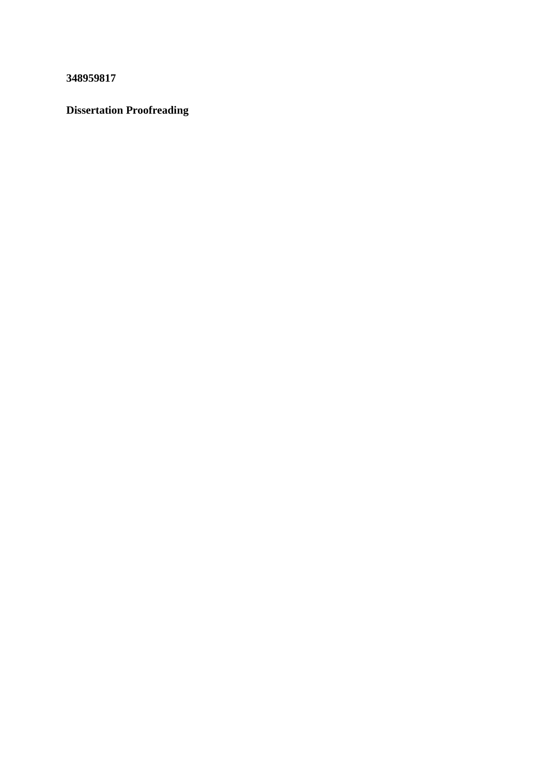**348959817**

## **Dissertation Proofreading**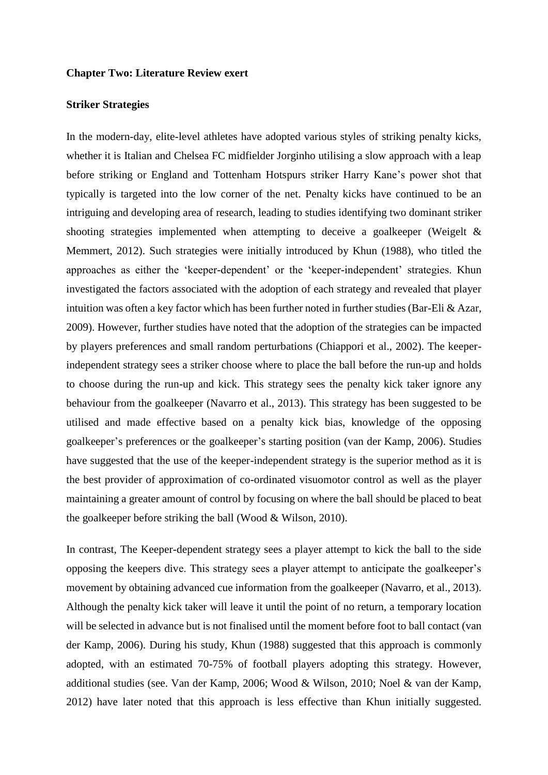## **Chapter Two: Literature Review exert**

## **Striker Strategies**

In the modern-day, elite-level athletes have adopted various styles of striking penalty kicks, whether it is Italian and Chelsea FC midfielder Jorginho utilising a slow approach with a leap before striking or England and Tottenham Hotspurs striker Harry Kane's power shot that typically is targeted into the low corner of the net. Penalty kicks have continued to be an intriguing and developing area of research, leading to studies identifying two dominant striker shooting strategies implemented when attempting to deceive a goalkeeper (Weigelt & Memmert, 2012). Such strategies were initially introduced by Khun (1988), who titled the approaches as either the 'keeper-dependent' or the 'keeper-independent' strategies. Khun investigated the factors associated with the adoption of each strategy and revealed that player intuition was often a key factor which has been further noted in further studies (Bar-Eli & Azar, 2009). However, further studies have noted that the adoption of the strategies can be impacted by players preferences and small random perturbations (Chiappori et al., 2002). The keeperindependent strategy sees a striker choose where to place the ball before the run-up and holds to choose during the run-up and kick. This strategy sees the penalty kick taker ignore any behaviour from the goalkeeper (Navarro et al., 2013). This strategy has been suggested to be utilised and made effective based on a penalty kick bias, knowledge of the opposing goalkeeper's preferences or the goalkeeper's starting position (van der Kamp, 2006). Studies have suggested that the use of the keeper-independent strategy is the superior method as it is the best provider of approximation of co-ordinated visuomotor control as well as the player maintaining a greater amount of control by focusing on where the ball should be placed to beat the goalkeeper before striking the ball (Wood & Wilson, 2010).

In contrast, The Keeper-dependent strategy sees a player attempt to kick the ball to the side opposing the keepers dive. This strategy sees a player attempt to anticipate the goalkeeper's movement by obtaining advanced cue information from the goalkeeper (Navarro, et al., 2013). Although the penalty kick taker will leave it until the point of no return, a temporary location will be selected in advance but is not finalised until the moment before foot to ball contact (van der Kamp, 2006). During his study, Khun (1988) suggested that this approach is commonly adopted, with an estimated 70-75% of football players adopting this strategy. However, additional studies (see. Van der Kamp, 2006; Wood & Wilson, 2010; Noel & van der Kamp, 2012) have later noted that this approach is less effective than Khun initially suggested.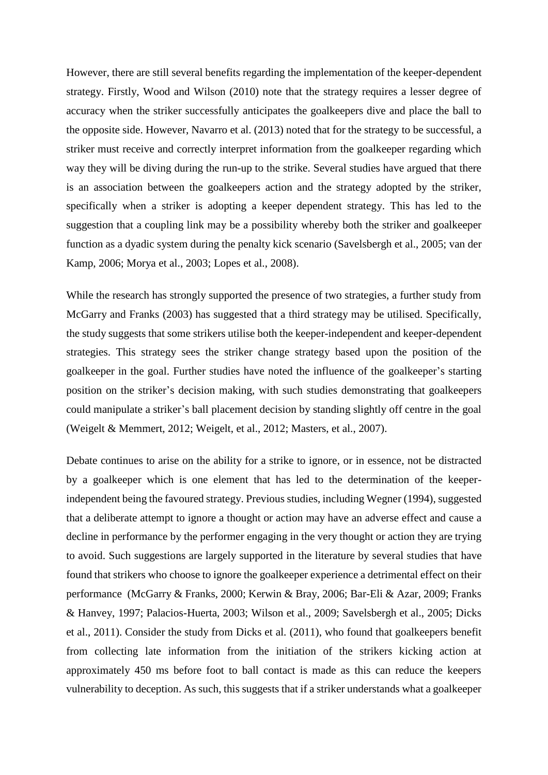However, there are still several benefits regarding the implementation of the keeper-dependent strategy. Firstly, Wood and Wilson (2010) note that the strategy requires a lesser degree of accuracy when the striker successfully anticipates the goalkeepers dive and place the ball to the opposite side. However, Navarro et al. (2013) noted that for the strategy to be successful, a striker must receive and correctly interpret information from the goalkeeper regarding which way they will be diving during the run-up to the strike. Several studies have argued that there is an association between the goalkeepers action and the strategy adopted by the striker, specifically when a striker is adopting a keeper dependent strategy. This has led to the suggestion that a coupling link may be a possibility whereby both the striker and goalkeeper function as a dyadic system during the penalty kick scenario (Savelsbergh et al., 2005; van der Kamp, 2006; Morya et al., 2003; Lopes et al., 2008).

While the research has strongly supported the presence of two strategies, a further study from McGarry and Franks (2003) has suggested that a third strategy may be utilised. Specifically, the study suggests that some strikers utilise both the keeper-independent and keeper-dependent strategies. This strategy sees the striker change strategy based upon the position of the goalkeeper in the goal. Further studies have noted the influence of the goalkeeper's starting position on the striker's decision making, with such studies demonstrating that goalkeepers could manipulate a striker's ball placement decision by standing slightly off centre in the goal (Weigelt & Memmert, 2012; Weigelt, et al., 2012; Masters, et al., 2007).

Debate continues to arise on the ability for a strike to ignore, or in essence, not be distracted by a goalkeeper which is one element that has led to the determination of the keeperindependent being the favoured strategy. Previous studies, including Wegner (1994), suggested that a deliberate attempt to ignore a thought or action may have an adverse effect and cause a decline in performance by the performer engaging in the very thought or action they are trying to avoid. Such suggestions are largely supported in the literature by several studies that have found that strikers who choose to ignore the goalkeeper experience a detrimental effect on their performance (McGarry & Franks, 2000; Kerwin & Bray, 2006; Bar-Eli & Azar, 2009; Franks & Hanvey, 1997; Palacios-Huerta, 2003; Wilson et al., 2009; Savelsbergh et al., 2005; Dicks et al., 2011). Consider the study from Dicks et al. (2011), who found that goalkeepers benefit from collecting late information from the initiation of the strikers kicking action at approximately 450 ms before foot to ball contact is made as this can reduce the keepers vulnerability to deception. As such, this suggests that if a striker understands what a goalkeeper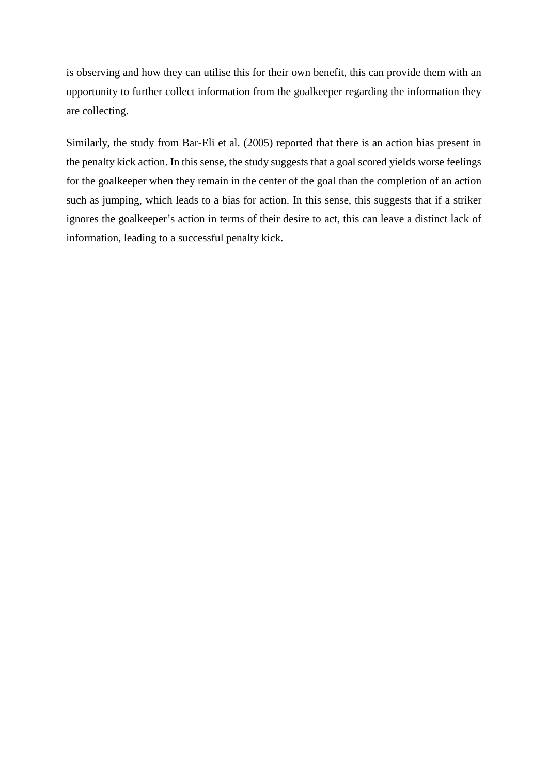is observing and how they can utilise this for their own benefit, this can provide them with an opportunity to further collect information from the goalkeeper regarding the information they are collecting.

Similarly, the study from Bar-Eli et al. (2005) reported that there is an action bias present in the penalty kick action. In this sense, the study suggests that a goal scored yields worse feelings for the goalkeeper when they remain in the center of the goal than the completion of an action such as jumping, which leads to a bias for action. In this sense, this suggests that if a striker ignores the goalkeeper's action in terms of their desire to act, this can leave a distinct lack of information, leading to a successful penalty kick.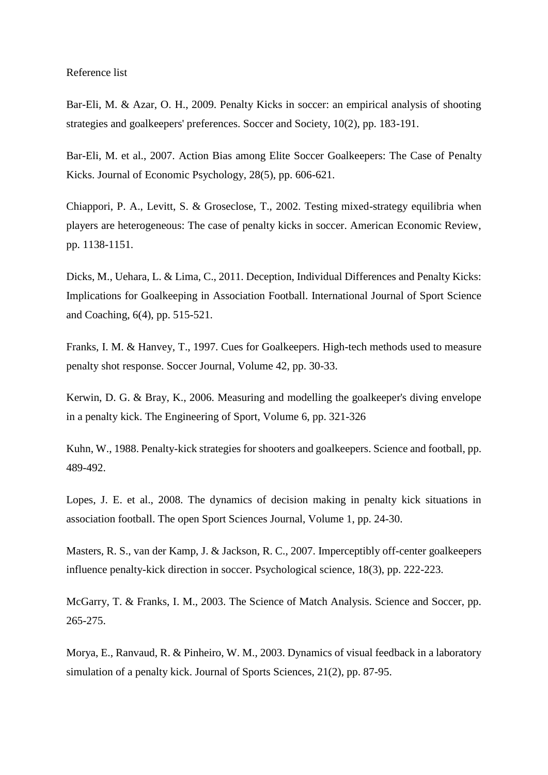## Reference list

Bar-Eli, M. & Azar, O. H., 2009. Penalty Kicks in soccer: an empirical analysis of shooting strategies and goalkeepers' preferences. Soccer and Society, 10(2), pp. 183-191.

Bar-Eli, M. et al., 2007. Action Bias among Elite Soccer Goalkeepers: The Case of Penalty Kicks. Journal of Economic Psychology, 28(5), pp. 606-621.

Chiappori, P. A., Levitt, S. & Groseclose, T., 2002. Testing mixed-strategy equilibria when players are heterogeneous: The case of penalty kicks in soccer. American Economic Review, pp. 1138-1151.

Dicks, M., Uehara, L. & Lima, C., 2011. Deception, Individual Differences and Penalty Kicks: Implications for Goalkeeping in Association Football. International Journal of Sport Science and Coaching, 6(4), pp. 515-521.

Franks, I. M. & Hanvey, T., 1997. Cues for Goalkeepers. High-tech methods used to measure penalty shot response. Soccer Journal, Volume 42, pp. 30-33.

Kerwin, D. G. & Bray, K., 2006. Measuring and modelling the goalkeeper's diving envelope in a penalty kick. The Engineering of Sport, Volume 6, pp. 321-326

Kuhn, W., 1988. Penalty-kick strategies for shooters and goalkeepers. Science and football, pp. 489-492.

Lopes, J. E. et al., 2008. The dynamics of decision making in penalty kick situations in association football. The open Sport Sciences Journal, Volume 1, pp. 24-30.

Masters, R. S., van der Kamp, J. & Jackson, R. C., 2007. Imperceptibly off-center goalkeepers influence penalty-kick direction in soccer. Psychological science, 18(3), pp. 222-223.

McGarry, T. & Franks, I. M., 2003. The Science of Match Analysis. Science and Soccer, pp. 265-275.

Morya, E., Ranvaud, R. & Pinheiro, W. M., 2003. Dynamics of visual feedback in a laboratory simulation of a penalty kick. Journal of Sports Sciences, 21(2), pp. 87-95.